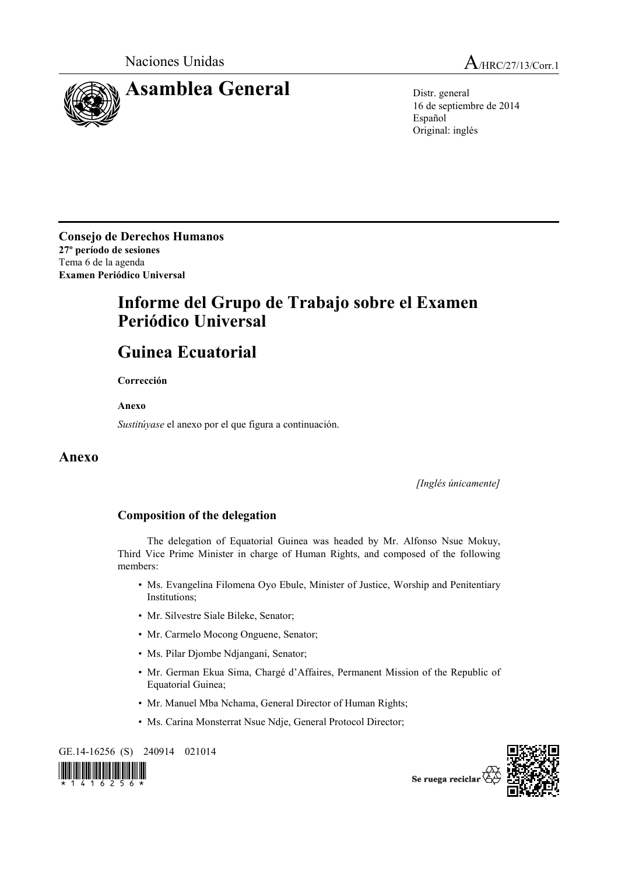



16 de septiembre de 2014 Español Original: inglés

**Consejo de Derechos Humanos 27º período de sesiones**  Tema 6 de la agenda **Examen Periódico Universal** 

## **Informe del Grupo de Trabajo sobre el Examen Periódico Universal**

## **Guinea Ecuatorial**

 **Corrección** 

 **Anexo** 

*Sustitúyase* el anexo por el que figura a continuación.

## **Anexo**

*[Inglés únicamente]* 

## **Composition of the delegation**

 The delegation of Equatorial Guinea was headed by Mr. Alfonso Nsue Mokuy, Third Vice Prime Minister in charge of Human Rights, and composed of the following members:

- Ms. Evangelina Filomena Oyo Ebule, Minister of Justice, Worship and Penitentiary Institutions;
- Mr. Silvestre Siale Bileke, Senator;
- Mr. Carmelo Mocong Onguene, Senator;
- Ms. Pilar Djombe Ndjangani, Senator;
- Mr. German Ekua Sima, Chargé d'Affaires, Permanent Mission of the Republic of Equatorial Guinea;
- Mr. Manuel Mba Nchama, General Director of Human Rights;
- Ms. Carina Monsterrat Nsue Ndje, General Protocol Director;

GE.14-16256 (S) 240914 021014





Se ruega reciclar  $\check{\mathfrak{C}}$